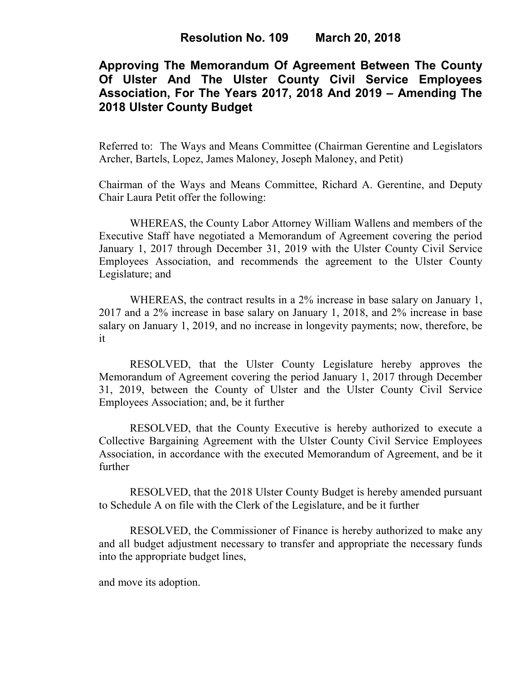# **Approving The Memorandum Of Agreement Between The County Of Ulster And The Ulster County Civil Service Employees Association, For The Years 2017, 2018 And 2019 – Amending The 2018 Ulster County Budget**

Referred to: The Ways and Means Committee (Chairman Gerentine and Legislators Archer, Bartels, Lopez, James Maloney, Joseph Maloney, and Petit)

Chairman of the Ways and Means Committee, Richard A. Gerentine, and Deputy Chair Laura Petit offer the following:

WHEREAS, the County Labor Attorney William Wallens and members of the Executive Staff have negotiated a Memorandum of Agreement covering the period January 1, 2017 through December 31, 2019 with the Ulster County Civil Service Employees Association, and recommends the agreement to the Ulster County Legislature; and

WHEREAS, the contract results in a 2% increase in base salary on January 1, 2017 and a 2% increase in base salary on January 1, 2018, and 2% increase in base salary on January 1, 2019, and no increase in longevity payments; now, therefore, be it

RESOLVED, that the Ulster County Legislature hereby approves the Memorandum of Agreement covering the period January 1, 2017 through December 31, 2019, between the County of Ulster and the Ulster County Civil Service Employees Association; and, be it further

RESOLVED, that the County Executive is hereby authorized to execute a Collective Bargaining Agreement with the Ulster County Civil Service Employees Association, in accordance with the executed Memorandum of Agreement, and be it further

RESOLVED, that the 2018 Ulster County Budget is hereby amended pursuant to Schedule A on file with the Clerk of the Legislature, and be it further

RESOLVED, the Commissioner of Finance is hereby authorized to make any and all budget adjustment necessary to transfer and appropriate the necessary funds into the appropriate budget lines,

and move its adoption.